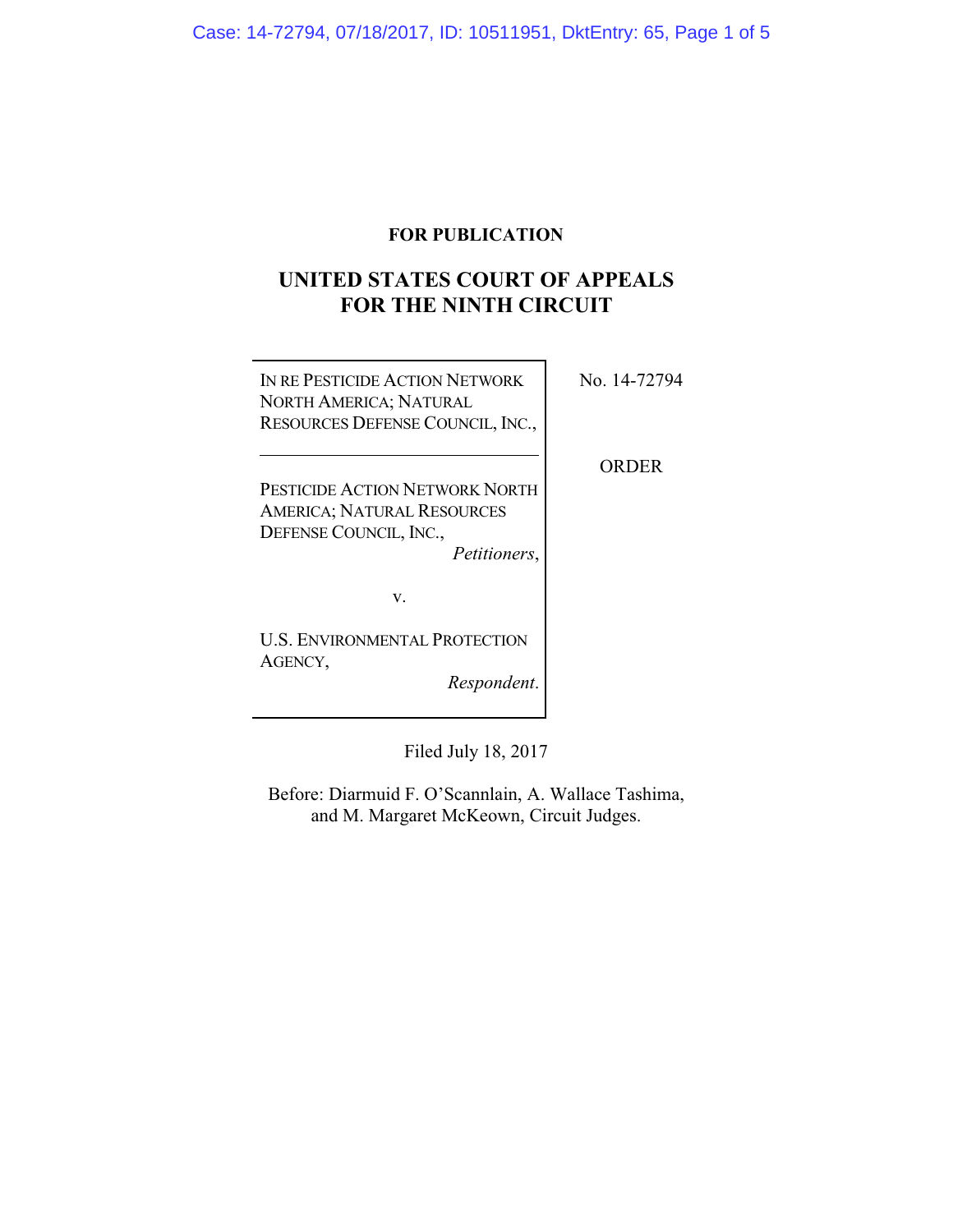# **FOR PUBLICATION**

# **UNITED STATES COURT OF APPEALS FOR THE NINTH CIRCUIT**

| IN RE PESTICIDE ACTION NETWORK   |
|----------------------------------|
| <b>NORTH AMERICA; NATURAL</b>    |
| RESOURCES DEFENSE COUNCIL, INC., |

No. 14-72794

ORDER

PESTICIDE ACTION NETWORK NORTH AMERICA; NATURAL RESOURCES DEFENSE COUNCIL, INC.,

*Petitioners*,

v.

U.S. ENVIRONMENTAL PROTECTION AGENCY,

*Respondent*.

Filed July 18, 2017

Before: Diarmuid F. O'Scannlain, A. Wallace Tashima, and M. Margaret McKeown, Circuit Judges.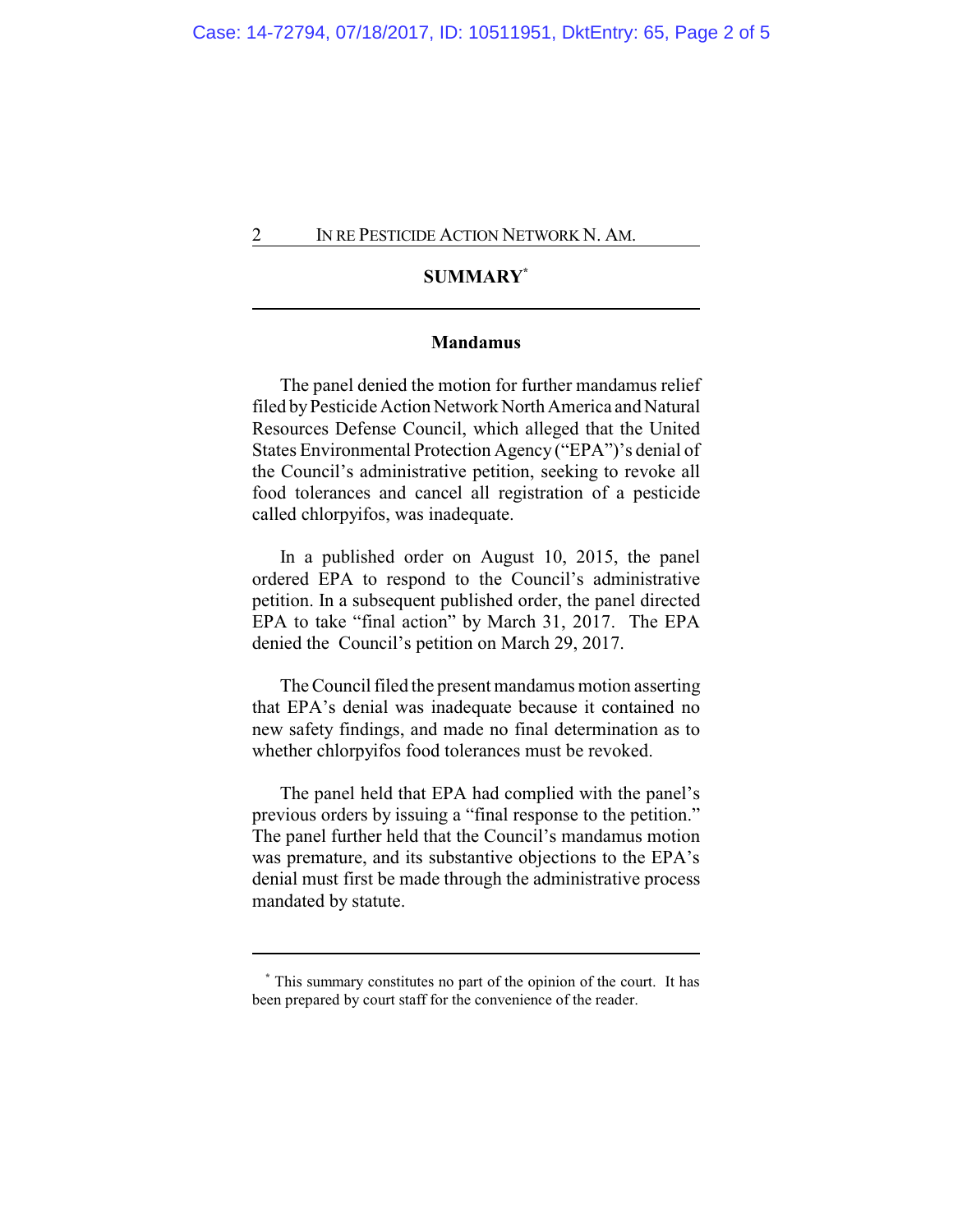# **SUMMARY\***

## **Mandamus**

The panel denied the motion for further mandamus relief filed byPesticide Action Network North America and Natural Resources Defense Council, which alleged that the United States Environmental Protection Agency ("EPA")'s denial of the Council's administrative petition, seeking to revoke all food tolerances and cancel all registration of a pesticide called chlorpyifos, was inadequate.

In a published order on August 10, 2015, the panel ordered EPA to respond to the Council's administrative petition. In a subsequent published order, the panel directed EPA to take "final action" by March 31, 2017. The EPA denied the Council's petition on March 29, 2017.

The Council filed the present mandamus motion asserting that EPA's denial was inadequate because it contained no new safety findings, and made no final determination as to whether chlorpyifos food tolerances must be revoked.

The panel held that EPA had complied with the panel's previous orders by issuing a "final response to the petition." The panel further held that the Council's mandamus motion was premature, and its substantive objections to the EPA's denial must first be made through the administrative process mandated by statute.

**<sup>\*</sup>** This summary constitutes no part of the opinion of the court. It has been prepared by court staff for the convenience of the reader.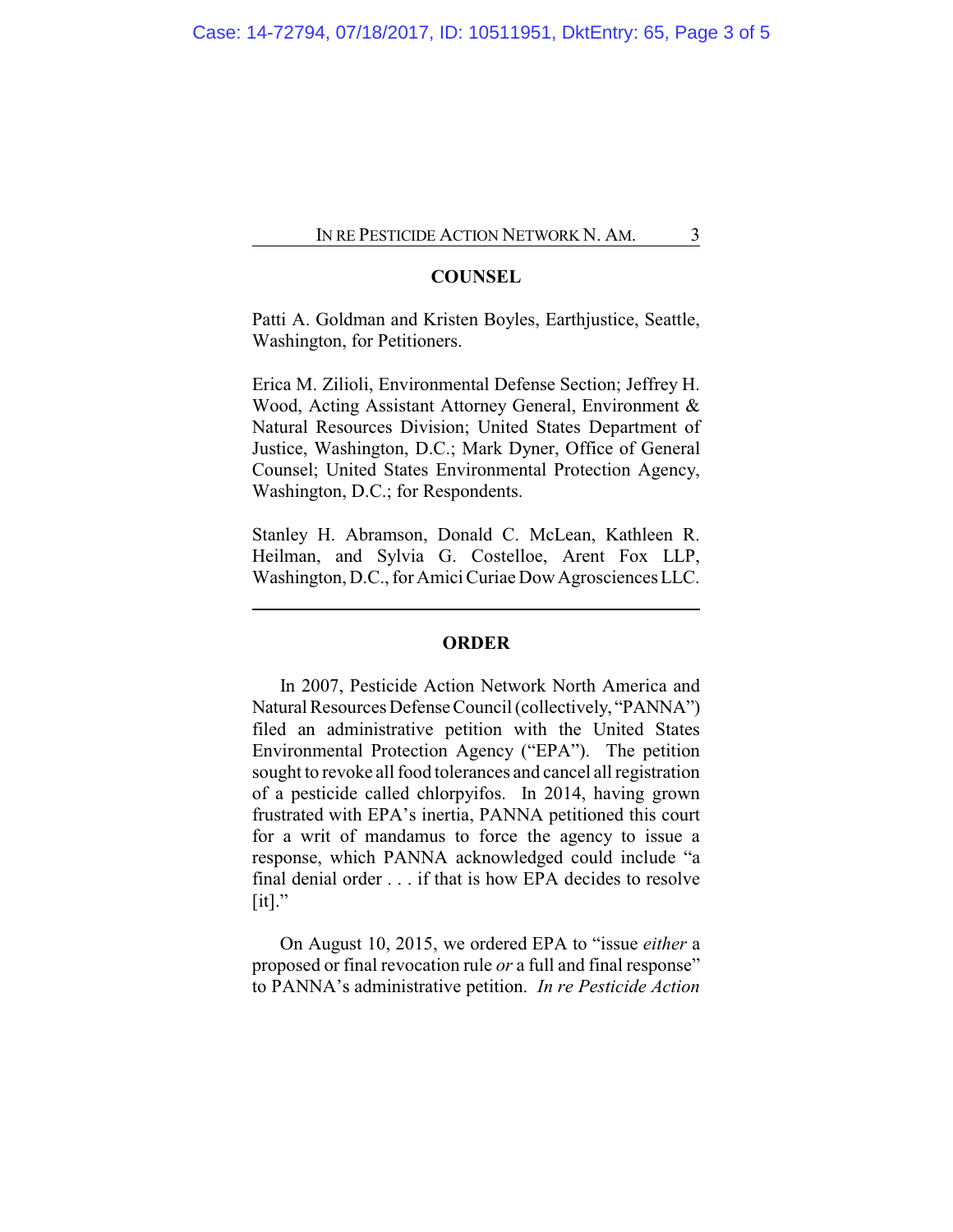# **COUNSEL**

Patti A. Goldman and Kristen Boyles, Earthjustice, Seattle, Washington, for Petitioners.

Erica M. Zilioli, Environmental Defense Section; Jeffrey H. Wood, Acting Assistant Attorney General, Environment & Natural Resources Division; United States Department of Justice, Washington, D.C.; Mark Dyner, Office of General Counsel; United States Environmental Protection Agency, Washington, D.C.; for Respondents.

Stanley H. Abramson, Donald C. McLean, Kathleen R. Heilman, and Sylvia G. Costelloe, Arent Fox LLP, Washington, D.C., for Amici Curiae Dow Agrosciences LLC.

## **ORDER**

In 2007, Pesticide Action Network North America and Natural Resources Defense Council (collectively, "PANNA") filed an administrative petition with the United States Environmental Protection Agency ("EPA"). The petition sought to revoke all food tolerances and cancel all registration of a pesticide called chlorpyifos. In 2014, having grown frustrated with EPA's inertia, PANNA petitioned this court for a writ of mandamus to force the agency to issue a response, which PANNA acknowledged could include "a final denial order . . . if that is how EPA decides to resolve  $[it]$ ."

On August 10, 2015, we ordered EPA to "issue *either* a proposed or final revocation rule *or* a full and final response" to PANNA's administrative petition. *In re Pesticide Action*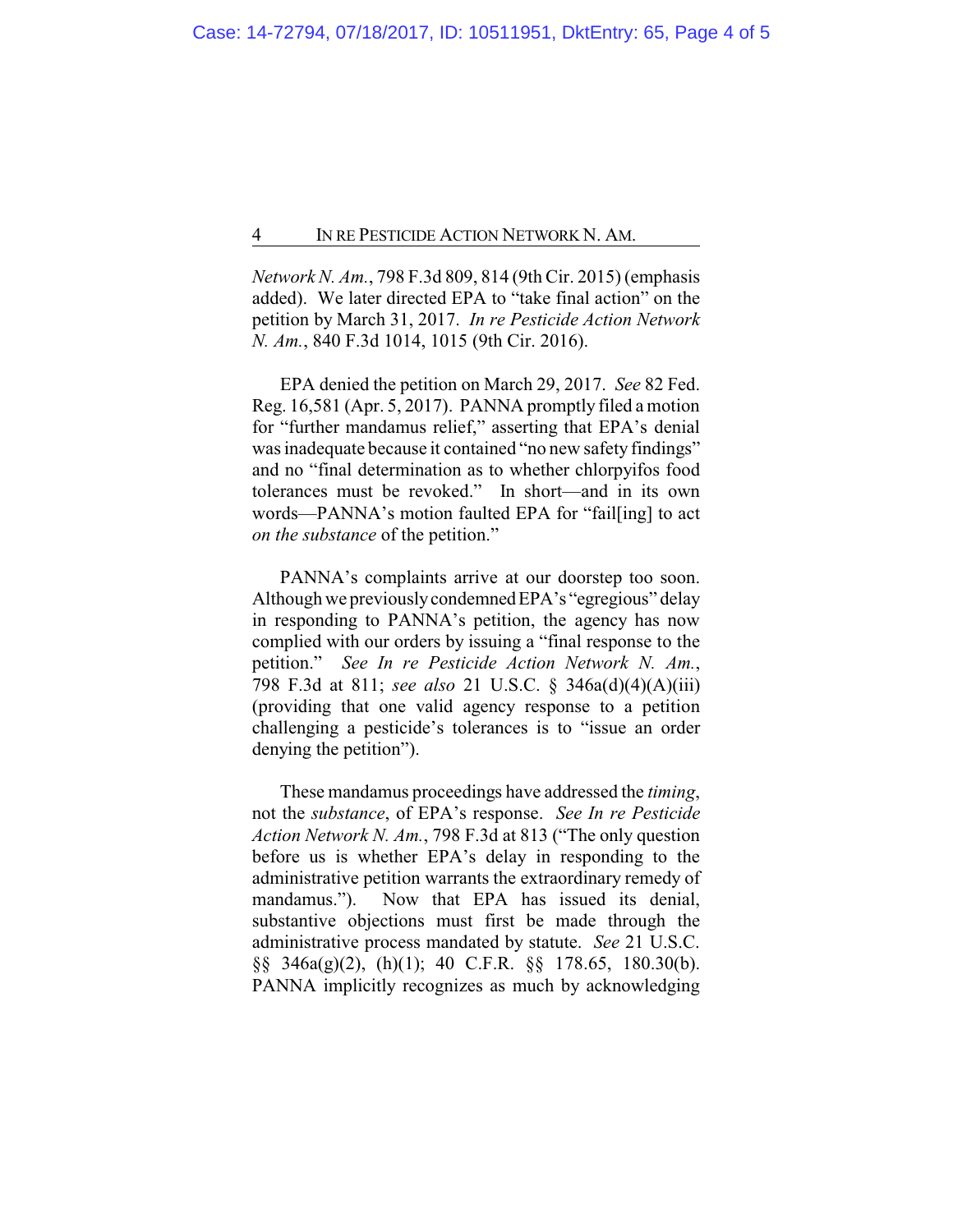*Network N. Am.*, 798 F.3d 809, 814 (9th Cir. 2015) (emphasis added). We later directed EPA to "take final action" on the petition by March 31, 2017. *In re Pesticide Action Network N. Am.*, 840 F.3d 1014, 1015 (9th Cir. 2016).

EPA denied the petition on March 29, 2017. *See* 82 Fed. Reg. 16,581 (Apr. 5, 2017). PANNA promptly filed a motion for "further mandamus relief," asserting that EPA's denial was inadequate because it contained "no new safety findings" and no "final determination as to whether chlorpyifos food tolerances must be revoked." In short—and in its own words—PANNA's motion faulted EPA for "fail[ing] to act *on the substance* of the petition."

PANNA's complaints arrive at our doorstep too soon. Although we previouslycondemnedEPA's "egregious" delay in responding to PANNA's petition, the agency has now complied with our orders by issuing a "final response to the petition." *See In re Pesticide Action Network N. Am.*, 798 F.3d at 811; *see also* 21 U.S.C. § 346a(d)(4)(A)(iii) (providing that one valid agency response to a petition challenging a pesticide's tolerances is to "issue an order denying the petition").

These mandamus proceedings have addressed the *timing*, not the *substance*, of EPA's response. *See In re Pesticide Action Network N. Am.*, 798 F.3d at 813 ("The only question before us is whether EPA's delay in responding to the administrative petition warrants the extraordinary remedy of mandamus."). Now that EPA has issued its denial, substantive objections must first be made through the administrative process mandated by statute. *See* 21 U.S.C. §§ 346a(g)(2), (h)(1); 40 C.F.R. §§ 178.65, 180.30(b). PANNA implicitly recognizes as much by acknowledging